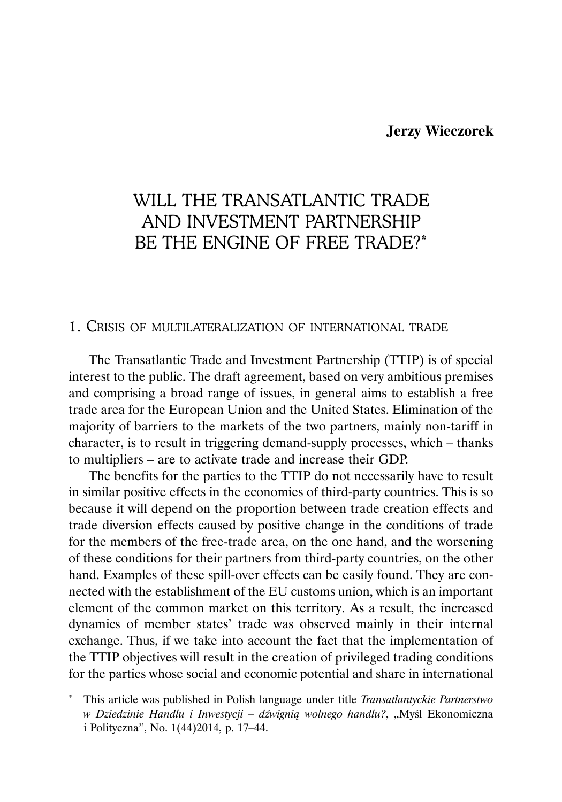## **Jerzy Wieczorek**

# WILL THE TRANSATLANTIC TRADE AND INVESTMENT PARTNERSHIP BE THE ENGINE OF FREE TRADE?\*

#### 1. CRISIS OF MULTILATERALIZATION OF INTERNATIONAL TRADE

The Transatlantic Trade and Investment Partnership (TTIP) is of special interest to the public. The draft agreement, based on very ambitious premises and comprising a broad range of issues, in general aims to establish a free trade area for the European Union and the United States. Elimination of the majority of barriers to the markets of the two partners, mainly non-tariff in character, is to result in triggering demand-supply processes, which – thanks to multipliers – are to activate trade and increase their GDP.

The benefits for the parties to the TTIP do not necessarily have to result in similar positive effects in the economies of third-party countries. This is so because it will depend on the proportion between trade creation effects and trade diversion effects caused by positive change in the conditions of trade for the members of the free-trade area, on the one hand, and the worsening of these conditions for their partners from third-party countries, on the other hand. Examples of these spill-over effects can be easily found. They are connected with the establishment of the EU customs union, which is an important element of the common market on this territory. As a result, the increased dynamics of member states' trade was observed mainly in their internal exchange. Thus, if we take into account the fact that the implementation of the TTIP objectives will result in the creation of privileged trading conditions for the parties whose social and economic potential and share in international

<sup>\*</sup> This article was published in Polish language under title *Transatlantyckie Partnerstwo w Dziedzinie Handlu i Inwestycji – dźwignią wolnego handlu?*, "Myśl Ekonomiczna i Polityczna", No. 1(44)2014, p. 17–44.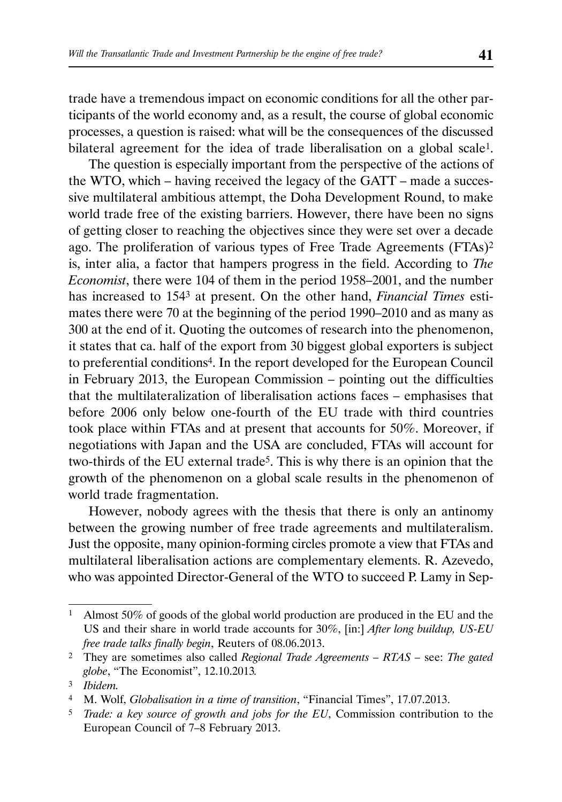trade have a tremendous impact on economic conditions for all the other participants of the world economy and, as a result, the course of global economic processes, a question is raised: what will be the consequences of the discussed bilateral agreement for the idea of trade liberalisation on a global scale<sup>1</sup>.

The question is especially important from the perspective of the actions of the WTO, which – having received the legacy of the GATT – made a successive multilateral ambitious attempt, the Doha Development Round, to make world trade free of the existing barriers. However, there have been no signs of getting closer to reaching the objectives since they were set over a decade ago. The proliferation of various types of Free Trade Agreements (FTAs)2 is, inter alia, a factor that hampers progress in the field. According to *The Economist*, there were 104 of them in the period 1958–2001, and the number has increased to 1543 at present. On the other hand, *Financial Times* estimates there were 70 at the beginning of the period 1990–2010 and as many as 300 at the end of it. Quoting the outcomes of research into the phenomenon, it states that ca. half of the export from 30 biggest global exporters is subject to preferential conditions4. In the report developed for the European Council in February 2013, the European Commission – pointing out the difficulties that the multilateralization of liberalisation actions faces – emphasises that before 2006 only below one-fourth of the EU trade with third countries took place within FTAs and at present that accounts for 50%. Moreover, if negotiations with Japan and the USA are concluded, FTAs will account for two-thirds of the EU external trade<sup>5</sup>. This is why there is an opinion that the growth of the phenomenon on a global scale results in the phenomenon of world trade fragmentation.

However, nobody agrees with the thesis that there is only an antinomy between the growing number of free trade agreements and multilateralism. Just the opposite, many opinion-forming circles promote a view that FTAs and multilateral liberalisation actions are complementary elements. R. Azevedo, who was appointed Director-General of the WTO to succeed P. Lamy in Sep-

<sup>1</sup> Almost 50% of goods of the global world production are produced in the EU and the US and their share in world trade accounts for 30%, [in:] *After long buildup, US-EU free trade talks finally begin*, Reuters of 08.06.2013.

<sup>2</sup> They are sometimes also called *Regional Trade Agreements – RTAS –* see: *The gated globe*, "The Economist", 12.10.2013*.*

<sup>3</sup> *Ibidem.*

<sup>4</sup> M. Wolf, *Globalisation in a time of transition*, "Financial Times", 17.07.2013.

<sup>5</sup> *Trade: a key source of growth and jobs for the EU*, Commission contribution to the European Council of 7–8 February 2013.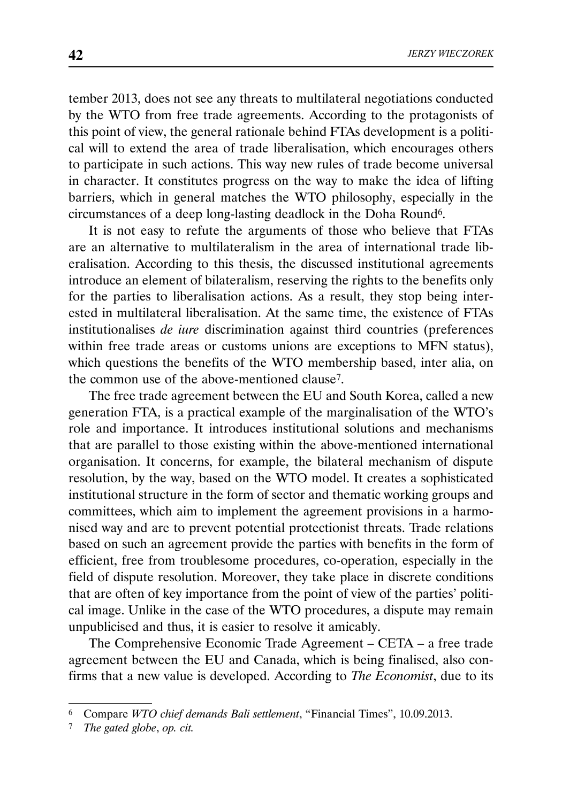tember 2013, does not see any threats to multilateral negotiations conducted by the WTO from free trade agreements. According to the protagonists of this point of view, the general rationale behind FTAs development is a political will to extend the area of trade liberalisation, which encourages others to participate in such actions. This way new rules of trade become universal in character. It constitutes progress on the way to make the idea of lifting barriers, which in general matches the WTO philosophy, especially in the circumstances of a deep long-lasting deadlock in the Doha Round6.

It is not easy to refute the arguments of those who believe that FTAs are an alternative to multilateralism in the area of international trade liberalisation. According to this thesis, the discussed institutional agreements introduce an element of bilateralism, reserving the rights to the benefits only for the parties to liberalisation actions. As a result, they stop being interested in multilateral liberalisation. At the same time, the existence of FTAs institutionalises *de iure* discrimination against third countries (preferences within free trade areas or customs unions are exceptions to MFN status), which questions the benefits of the WTO membership based, inter alia, on the common use of the above-mentioned clause7.

The free trade agreement between the EU and South Korea, called a new generation FTA, is a practical example of the marginalisation of the WTO's role and importance. It introduces institutional solutions and mechanisms that are parallel to those existing within the above-mentioned international organisation. It concerns, for example, the bilateral mechanism of dispute resolution, by the way, based on the WTO model. It creates a sophisticated institutional structure in the form of sector and thematic working groups and committees, which aim to implement the agreement provisions in a harmonised way and are to prevent potential protectionist threats. Trade relations based on such an agreement provide the parties with benefits in the form of efficient, free from troublesome procedures, co-operation, especially in the field of dispute resolution. Moreover, they take place in discrete conditions that are often of key importance from the point of view of the parties' political image. Unlike in the case of the WTO procedures, a dispute may remain unpublicised and thus, it is easier to resolve it amicably.

The Comprehensive Economic Trade Agreement – CETA – a free trade agreement between the EU and Canada, which is being finalised, also confirms that a new value is developed. According to *The Economist*, due to its

<sup>6</sup> Compare *WTO chief demands Bali settlement*, "Financial Times", 10.09.2013.

<sup>7</sup> *The gated globe*, *op. cit.*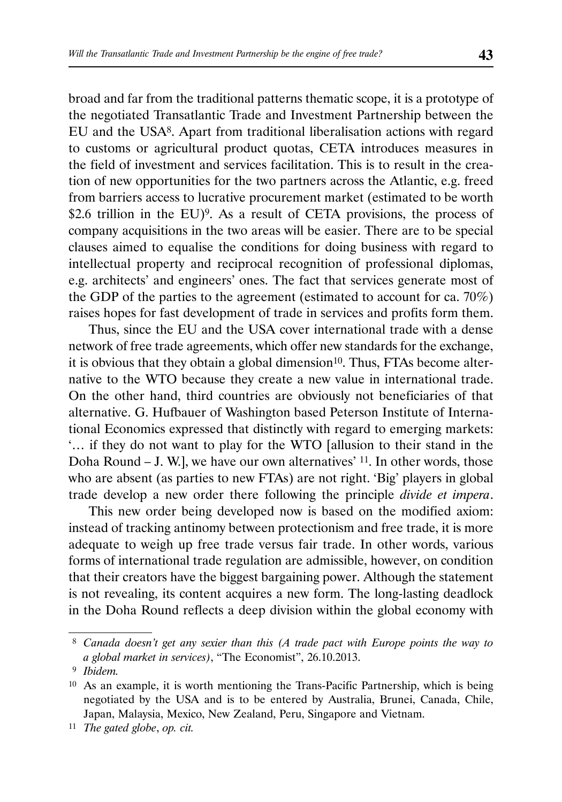broad and far from the traditional patterns thematic scope, it is a prototype of the negotiated Transatlantic Trade and Investment Partnership between the EU and the USA8. Apart from traditional liberalisation actions with regard to customs or agricultural product quotas, CETA introduces measures in the field of investment and services facilitation. This is to result in the creation of new opportunities for the two partners across the Atlantic, e.g. freed from barriers access to lucrative procurement market (estimated to be worth \$2.6 trillion in the EU)<sup>9</sup>. As a result of CETA provisions, the process of company acquisitions in the two areas will be easier. There are to be special clauses aimed to equalise the conditions for doing business with regard to intellectual property and reciprocal recognition of professional diplomas, e.g. architects' and engineers' ones. The fact that services generate most of the GDP of the parties to the agreement (estimated to account for ca. 70%) raises hopes for fast development of trade in services and profits form them.

Thus, since the EU and the USA cover international trade with a dense network of free trade agreements, which offer new standards for the exchange, it is obvious that they obtain a global dimension $10$ . Thus, FTAs become alternative to the WTO because they create a new value in international trade. On the other hand, third countries are obviously not beneficiaries of that alternative. G. Hufbauer of Washington based Peterson Institute of International Economics expressed that distinctly with regard to emerging markets: '… if they do not want to play for the WTO [allusion to their stand in the Doha Round – J. W.], we have our own alternatives'  $11$ . In other words, those who are absent (as parties to new FTAs) are not right. 'Big' players in global trade develop a new order there following the principle *divide et impera*.

This new order being developed now is based on the modified axiom: instead of tracking antinomy between protectionism and free trade, it is more adequate to weigh up free trade versus fair trade. In other words, various forms of international trade regulation are admissible, however, on condition that their creators have the biggest bargaining power. Although the statement is not revealing, its content acquires a new form. The long-lasting deadlock in the Doha Round reflects a deep division within the global economy with

 <sup>8</sup> *Canada doesn't get any sexier than this (A trade pact with Europe points the way to a global market in services)*, "The Economist", 26.10.2013.

 <sup>9</sup> *Ibidem.*

<sup>10</sup> As an example, it is worth mentioning the Trans-Pacific Partnership, which is being negotiated by the USA and is to be entered by Australia, Brunei, Canada, Chile, Japan, Malaysia, Mexico, New Zealand, Peru, Singapore and Vietnam.

<sup>11</sup> *The gated globe*, *op. cit.*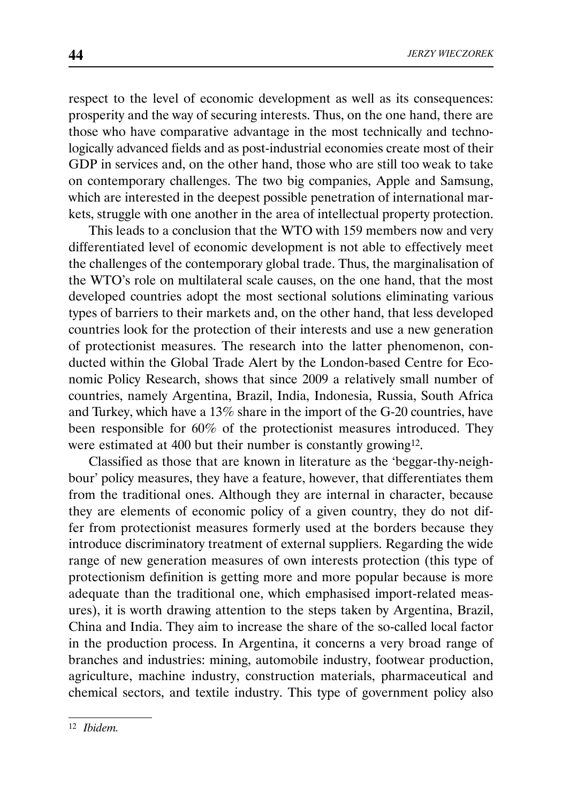respect to the level of economic development as well as its consequences: prosperity and the way of securing interests. Thus, on the one hand, there are those who have comparative advantage in the most technically and technologically advanced fields and as post-industrial economies create most of their GDP in services and, on the other hand, those who are still too weak to take on contemporary challenges. The two big companies, Apple and Samsung, which are interested in the deepest possible penetration of international markets, struggle with one another in the area of intellectual property protection.

This leads to a conclusion that the WTO with 159 members now and very differentiated level of economic development is not able to effectively meet the challenges of the contemporary global trade. Thus, the marginalisation of the WTO's role on multilateral scale causes, on the one hand, that the most developed countries adopt the most sectional solutions eliminating various types of barriers to their markets and, on the other hand, that less developed countries look for the protection of their interests and use a new generation of protectionist measures. The research into the latter phenomenon, conducted within the Global Trade Alert by the London-based Centre for Economic Policy Research, shows that since 2009 a relatively small number of countries, namely Argentina, Brazil, India, Indonesia, Russia, South Africa and Turkey, which have a 13% share in the import of the G-20 countries, have been responsible for 60% of the protectionist measures introduced. They were estimated at 400 but their number is constantly growing12.

Classified as those that are known in literature as the 'beggar-thy-neighbour' policy measures, they have a feature, however, that differentiates them from the traditional ones. Although they are internal in character, because they are elements of economic policy of a given country, they do not differ from protectionist measures formerly used at the borders because they introduce discriminatory treatment of external suppliers. Regarding the wide range of new generation measures of own interests protection (this type of protectionism definition is getting more and more popular because is more adequate than the traditional one, which emphasised import-related measures), it is worth drawing attention to the steps taken by Argentina, Brazil, China and India. They aim to increase the share of the so-called local factor in the production process. In Argentina, it concerns a very broad range of branches and industries: mining, automobile industry, footwear production, agriculture, machine industry, construction materials, pharmaceutical and chemical sectors, and textile industry. This type of government policy also

<sup>12</sup> *Ibidem.*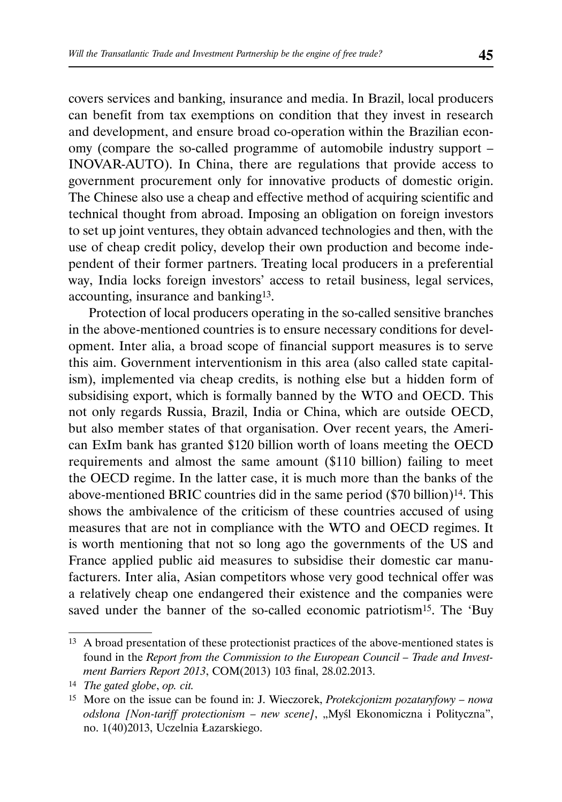covers services and banking, insurance and media. In Brazil, local producers can benefit from tax exemptions on condition that they invest in research and development, and ensure broad co-operation within the Brazilian economy (compare the so-called programme of automobile industry support – INOVAR-AUTO). In China, there are regulations that provide access to government procurement only for innovative products of domestic origin. The Chinese also use a cheap and effective method of acquiring scientific and technical thought from abroad. Imposing an obligation on foreign investors to set up joint ventures, they obtain advanced technologies and then, with the use of cheap credit policy, develop their own production and become independent of their former partners. Treating local producers in a preferential way, India locks foreign investors' access to retail business, legal services, accounting, insurance and banking13.

Protection of local producers operating in the so-called sensitive branches in the above-mentioned countries is to ensure necessary conditions for development. Inter alia, a broad scope of financial support measures is to serve this aim. Government interventionism in this area (also called state capitalism), implemented via cheap credits, is nothing else but a hidden form of subsidising export, which is formally banned by the WTO and OECD. This not only regards Russia, Brazil, India or China, which are outside OECD, but also member states of that organisation. Over recent years, the American ExIm bank has granted \$120 billion worth of loans meeting the OECD requirements and almost the same amount (\$110 billion) failing to meet the OECD regime. In the latter case, it is much more than the banks of the above-mentioned BRIC countries did in the same period (\$70 billion)14. This shows the ambivalence of the criticism of these countries accused of using measures that are not in compliance with the WTO and OECD regimes. It is worth mentioning that not so long ago the governments of the US and France applied public aid measures to subsidise their domestic car manufacturers. Inter alia, Asian competitors whose very good technical offer was a relatively cheap one endangered their existence and the companies were saved under the banner of the so-called economic patriotism<sup>15</sup>. The 'Buy

<sup>13</sup> A broad presentation of these protectionist practices of the above-mentioned states is found in the *Report from the Commission to the European Council – Trade and Investment Barriers Report 2013*, COM(2013) 103 final, 28.02.2013.

<sup>14</sup> *The gated globe*, *op. cit.*

<sup>15</sup> More on the issue can be found in: J. Wieczorek, *Protekcjonizm pozataryfowy – nowa odsłona [Non-tariff protectionism – new scene]*, "Myśl Ekonomiczna i Polityczna", no. 1(40)2013, Uczelnia Łazarskiego.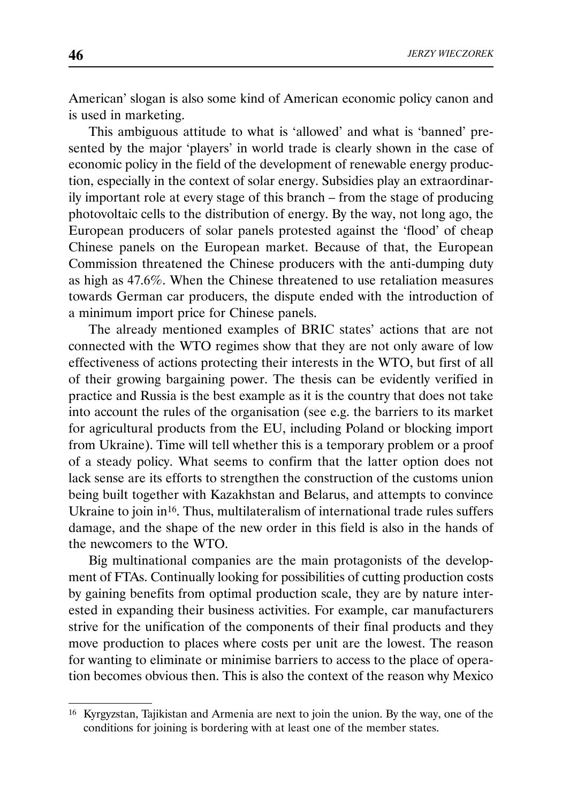American' slogan is also some kind of American economic policy canon and is used in marketing.

This ambiguous attitude to what is 'allowed' and what is 'banned' presented by the major 'players' in world trade is clearly shown in the case of economic policy in the field of the development of renewable energy production, especially in the context of solar energy. Subsidies play an extraordinarily important role at every stage of this branch – from the stage of producing photovoltaic cells to the distribution of energy. By the way, not long ago, the European producers of solar panels protested against the 'flood' of cheap Chinese panels on the European market. Because of that, the European Commission threatened the Chinese producers with the anti-dumping duty as high as 47.6%. When the Chinese threatened to use retaliation measures towards German car producers, the dispute ended with the introduction of a minimum import price for Chinese panels.

The already mentioned examples of BRIC states' actions that are not connected with the WTO regimes show that they are not only aware of low effectiveness of actions protecting their interests in the WTO, but first of all of their growing bargaining power. The thesis can be evidently verified in practice and Russia is the best example as it is the country that does not take into account the rules of the organisation (see e.g. the barriers to its market for agricultural products from the EU, including Poland or blocking import from Ukraine). Time will tell whether this is a temporary problem or a proof of a steady policy. What seems to confirm that the latter option does not lack sense are its efforts to strengthen the construction of the customs union being built together with Kazakhstan and Belarus, and attempts to convince Ukraine to join in<sup>16</sup>. Thus, multilateralism of international trade rules suffers damage, and the shape of the new order in this field is also in the hands of the newcomers to the WTO.

Big multinational companies are the main protagonists of the development of FTAs. Continually looking for possibilities of cutting production costs by gaining benefits from optimal production scale, they are by nature interested in expanding their business activities. For example, car manufacturers strive for the unification of the components of their final products and they move production to places where costs per unit are the lowest. The reason for wanting to eliminate or minimise barriers to access to the place of operation becomes obvious then. This is also the context of the reason why Mexico

<sup>16</sup> Kyrgyzstan, Tajikistan and Armenia are next to join the union. By the way, one of the conditions for joining is bordering with at least one of the member states.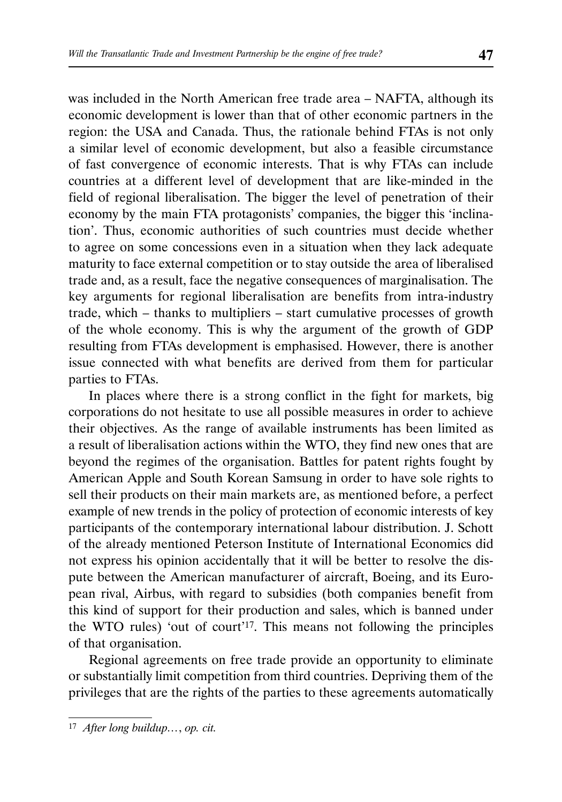was included in the North American free trade area – NAFTA, although its economic development is lower than that of other economic partners in the region: the USA and Canada. Thus, the rationale behind FTAs is not only a similar level of economic development, but also a feasible circumstance of fast convergence of economic interests. That is why FTAs can include countries at a different level of development that are like-minded in the field of regional liberalisation. The bigger the level of penetration of their economy by the main FTA protagonists' companies, the bigger this 'inclination'. Thus, economic authorities of such countries must decide whether to agree on some concessions even in a situation when they lack adequate maturity to face external competition or to stay outside the area of liberalised trade and, as a result, face the negative consequences of marginalisation. The key arguments for regional liberalisation are benefits from intra-industry trade, which – thanks to multipliers – start cumulative processes of growth of the whole economy. This is why the argument of the growth of GDP resulting from FTAs development is emphasised. However, there is another issue connected with what benefits are derived from them for particular parties to FTAs.

In places where there is a strong conflict in the fight for markets, big corporations do not hesitate to use all possible measures in order to achieve their objectives. As the range of available instruments has been limited as a result of liberalisation actions within the WTO, they find new ones that are beyond the regimes of the organisation. Battles for patent rights fought by American Apple and South Korean Samsung in order to have sole rights to sell their products on their main markets are, as mentioned before, a perfect example of new trends in the policy of protection of economic interests of key participants of the contemporary international labour distribution. J. Schott of the already mentioned Peterson Institute of International Economics did not express his opinion accidentally that it will be better to resolve the dispute between the American manufacturer of aircraft, Boeing, and its European rival, Airbus, with regard to subsidies (both companies benefit from this kind of support for their production and sales, which is banned under the WTO rules) 'out of court'17. This means not following the principles of that organisation.

Regional agreements on free trade provide an opportunity to eliminate or substantially limit competition from third countries. Depriving them of the privileges that are the rights of the parties to these agreements automatically

<sup>17</sup> *After long buildup…*, *op. cit.*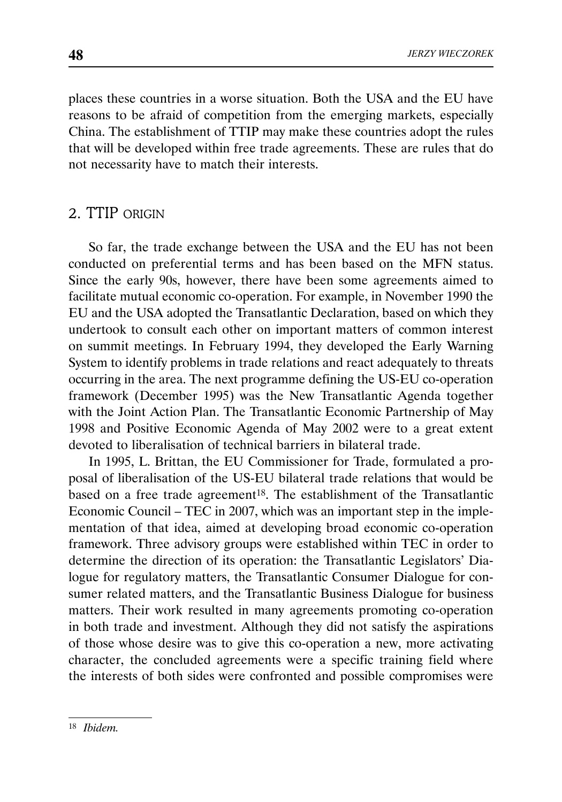places these countries in a worse situation. Both the USA and the EU have reasons to be afraid of competition from the emerging markets, especially China. The establishment of TTIP may make these countries adopt the rules that will be developed within free trade agreements. These are rules that do not necessarity have to match their interests.

# 2. TTIP ORIGIN

So far, the trade exchange between the USA and the EU has not been conducted on preferential terms and has been based on the MFN status. Since the early 90s, however, there have been some agreements aimed to facilitate mutual economic co-operation. For example, in November 1990 the EU and the USA adopted the Transatlantic Declaration, based on which they undertook to consult each other on important matters of common interest on summit meetings. In February 1994, they developed the Early Warning System to identify problems in trade relations and react adequately to threats occurring in the area. The next programme defining the US-EU co-operation framework (December 1995) was the New Transatlantic Agenda together with the Joint Action Plan. The Transatlantic Economic Partnership of May 1998 and Positive Economic Agenda of May 2002 were to a great extent devoted to liberalisation of technical barriers in bilateral trade.

In 1995, L. Brittan, the EU Commissioner for Trade, formulated a proposal of liberalisation of the US-EU bilateral trade relations that would be based on a free trade agreement<sup>18</sup>. The establishment of the Transatlantic Economic Council – TEC in 2007, which was an important step in the implementation of that idea, aimed at developing broad economic co-operation framework. Three advisory groups were established within TEC in order to determine the direction of its operation: the Transatlantic Legislators' Dialogue for regulatory matters, the Transatlantic Consumer Dialogue for consumer related matters, and the Transatlantic Business Dialogue for business matters. Their work resulted in many agreements promoting co-operation in both trade and investment. Although they did not satisfy the aspirations of those whose desire was to give this co-operation a new, more activating character, the concluded agreements were a specific training field where the interests of both sides were confronted and possible compromises were

<sup>18</sup> *Ibidem.*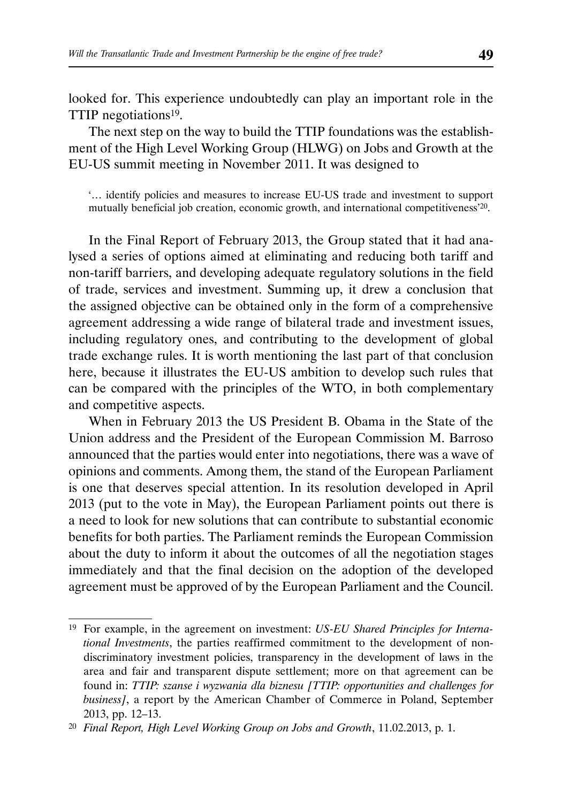looked for. This experience undoubtedly can play an important role in the TTIP negotiations19.

The next step on the way to build the TTIP foundations was the establishment of the High Level Working Group (HLWG) on Jobs and Growth at the EU-US summit meeting in November 2011. It was designed to

'… identify policies and measures to increase EU-US trade and investment to support mutually beneficial job creation, economic growth, and international competitiveness'20.

In the Final Report of February 2013, the Group stated that it had analysed a series of options aimed at eliminating and reducing both tariff and non-tariff barriers, and developing adequate regulatory solutions in the field of trade, services and investment. Summing up, it drew a conclusion that the assigned objective can be obtained only in the form of a comprehensive agreement addressing a wide range of bilateral trade and investment issues, including regulatory ones, and contributing to the development of global trade exchange rules. It is worth mentioning the last part of that conclusion here, because it illustrates the EU-US ambition to develop such rules that can be compared with the principles of the WTO, in both complementary and competitive aspects.

When in February 2013 the US President B. Obama in the State of the Union address and the President of the European Commission M. Barroso announced that the parties would enter into negotiations, there was a wave of opinions and comments. Among them, the stand of the European Parliament is one that deserves special attention. In its resolution developed in April 2013 (put to the vote in May), the European Parliament points out there is a need to look for new solutions that can contribute to substantial economic benefits for both parties. The Parliament reminds the European Commission about the duty to inform it about the outcomes of all the negotiation stages immediately and that the final decision on the adoption of the developed agreement must be approved of by the European Parliament and the Council.

<sup>19</sup> For example, in the agreement on investment: *US-EU Shared Principles for International Investments*, the parties reaffirmed commitment to the development of nondiscriminatory investment policies, transparency in the development of laws in the area and fair and transparent dispute settlement; more on that agreement can be found in: *TTIP: szanse i wyzwania dla biznesu [TTIP: opportunities and challenges for business]*, a report by the American Chamber of Commerce in Poland, September 2013, pp. 12–13.

<sup>20</sup> *Final Report, High Level Working Group on Jobs and Growth*, 11.02.2013, p. 1.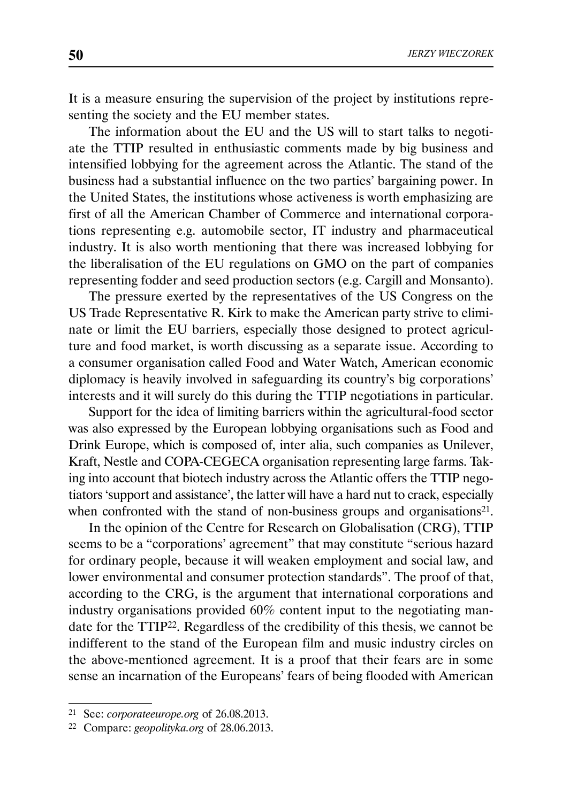It is a measure ensuring the supervision of the project by institutions representing the society and the EU member states.

The information about the EU and the US will to start talks to negotiate the TTIP resulted in enthusiastic comments made by big business and intensified lobbying for the agreement across the Atlantic. The stand of the business had a substantial influence on the two parties' bargaining power. In the United States, the institutions whose activeness is worth emphasizing are first of all the American Chamber of Commerce and international corporations representing e.g. automobile sector, IT industry and pharmaceutical industry. It is also worth mentioning that there was increased lobbying for the liberalisation of the EU regulations on GMO on the part of companies representing fodder and seed production sectors (e.g. Cargill and Monsanto).

The pressure exerted by the representatives of the US Congress on the US Trade Representative R. Kirk to make the American party strive to eliminate or limit the EU barriers, especially those designed to protect agriculture and food market, is worth discussing as a separate issue. According to a consumer organisation called Food and Water Watch, American economic diplomacy is heavily involved in safeguarding its country's big corporations' interests and it will surely do this during the TTIP negotiations in particular.

Support for the idea of limiting barriers within the agricultural-food sector was also expressed by the European lobbying organisations such as Food and Drink Europe, which is composed of, inter alia, such companies as Unilever, Kraft, Nestle and COPA-CEGECA organisation representing large farms. Taking into account that biotech industry across the Atlantic offers the TTIP negotiators 'support and assistance', the latter will have a hard nut to crack, especially when confronted with the stand of non-business groups and organisations<sup>21</sup>.

In the opinion of the Centre for Research on Globalisation (CRG), TTIP seems to be a "corporations' agreement" that may constitute "serious hazard for ordinary people, because it will weaken employment and social law, and lower environmental and consumer protection standards". The proof of that, according to the CRG, is the argument that international corporations and industry organisations provided 60% content input to the negotiating mandate for the TTIP22. Regardless of the credibility of this thesis, we cannot be indifferent to the stand of the European film and music industry circles on the above-mentioned agreement. It is a proof that their fears are in some sense an incarnation of the Europeans' fears of being flooded with American

<sup>21</sup> See: *corporateeurope.org* of 26.08.2013.

<sup>22</sup> Compare: *geopolityka.org* of 28.06.2013.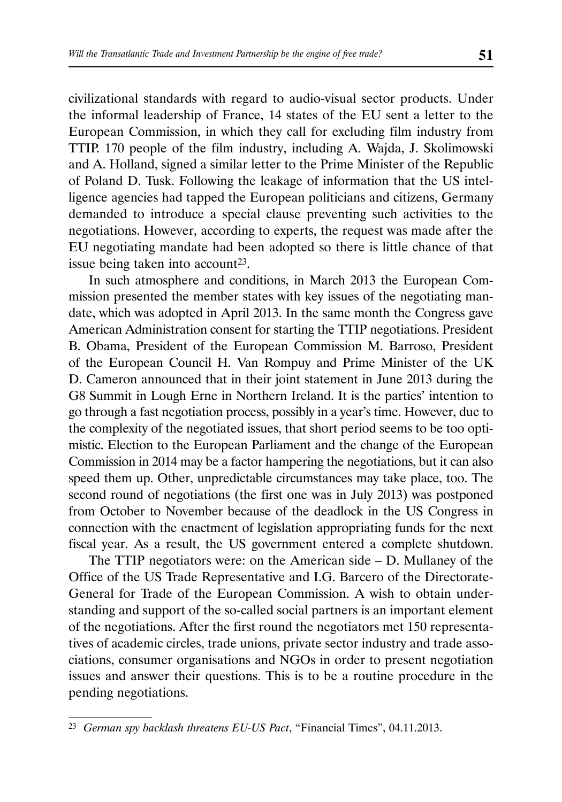civilizational standards with regard to audio-visual sector products. Under the informal leadership of France, 14 states of the EU sent a letter to the European Commission, in which they call for excluding film industry from TTIP. 170 people of the film industry, including A. Wajda, J. Skolimowski and A. Holland, signed a similar letter to the Prime Minister of the Republic of Poland D. Tusk. Following the leakage of information that the US intelligence agencies had tapped the European politicians and citizens, Germany demanded to introduce a special clause preventing such activities to the negotiations. However, according to experts, the request was made after the EU negotiating mandate had been adopted so there is little chance of that issue being taken into account<sup>23</sup>.

In such atmosphere and conditions, in March 2013 the European Commission presented the member states with key issues of the negotiating mandate, which was adopted in April 2013. In the same month the Congress gave American Administration consent for starting the TTIP negotiations. President B. Obama, President of the European Commission M. Barroso, President of the European Council H. Van Rompuy and Prime Minister of the UK D. Cameron announced that in their joint statement in June 2013 during the G8 Summit in Lough Erne in Northern Ireland. It is the parties' intention to go through a fast negotiation process, possibly in a year's time. However, due to the complexity of the negotiated issues, that short period seems to be too optimistic. Election to the European Parliament and the change of the European Commission in 2014 may be a factor hampering the negotiations, but it can also speed them up. Other, unpredictable circumstances may take place, too. The second round of negotiations (the first one was in July 2013) was postponed from October to November because of the deadlock in the US Congress in connection with the enactment of legislation appropriating funds for the next fiscal year. As a result, the US government entered a complete shutdown.

The TTIP negotiators were: on the American side – D. Mullaney of the Office of the US Trade Representative and I.G. Barcero of the Directorate-General for Trade of the European Commission. A wish to obtain understanding and support of the so-called social partners is an important element of the negotiations. After the first round the negotiators met 150 representatives of academic circles, trade unions, private sector industry and trade associations, consumer organisations and NGOs in order to present negotiation issues and answer their questions. This is to be a routine procedure in the pending negotiations.

<sup>23</sup> *German spy backlash threatens EU-US Pact*, "Financial Times", 04.11.2013.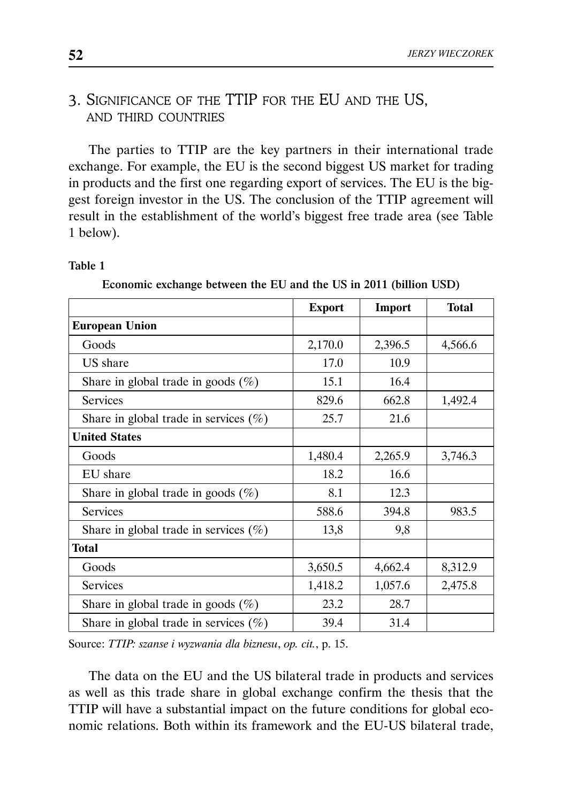# 3. SIGNIFICANCE OF THE TTIP FOR THE EU AND THE US, AND THIRD COUNTRIES

The parties to TTIP are the key partners in their international trade exchange. For example, the EU is the second biggest US market for trading in products and the first one regarding export of services. The EU is the biggest foreign investor in the US. The conclusion of the TTIP agreement will result in the establishment of the world's biggest free trade area (see Table 1 below).

#### Table 1

Economic exchange between the EU and the US in 2011 (billion USD)

|                                           | <b>Export</b> | Import  | <b>Total</b> |
|-------------------------------------------|---------------|---------|--------------|
| <b>European Union</b>                     |               |         |              |
| Goods                                     | 2,170.0       | 2,396.5 | 4,566.6      |
| US share                                  | 17.0          | 10.9    |              |
| Share in global trade in goods $(\%)$     | 15.1          | 16.4    |              |
| Services                                  | 829.6         | 662.8   | 1,492.4      |
| Share in global trade in services $(\%)$  | 25.7          | 21.6    |              |
| <b>United States</b>                      |               |         |              |
| Goods                                     | 1,480.4       | 2,265.9 | 3,746.3      |
| EU share                                  | 18.2          | 16.6    |              |
| Share in global trade in goods $(\%)$     | 8.1           | 12.3    |              |
| Services                                  | 588.6         | 394.8   | 983.5        |
| Share in global trade in services $(\% )$ | 13,8          | 9,8     |              |
| <b>Total</b>                              |               |         |              |
| Goods                                     | 3,650.5       | 4,662.4 | 8,312.9      |
| <b>Services</b>                           | 1,418.2       | 1,057.6 | 2,475.8      |
| Share in global trade in goods $(\%)$     | 23.2          | 28.7    |              |
| Share in global trade in services $(\%)$  | 39.4          | 31.4    |              |

Source: *TTIP: szanse i wyzwania dla biznesu*, *op. cit.*, p. 15.

The data on the EU and the US bilateral trade in products and services as well as this trade share in global exchange confirm the thesis that the TTIP will have a substantial impact on the future conditions for global economic relations. Both within its framework and the EU-US bilateral trade,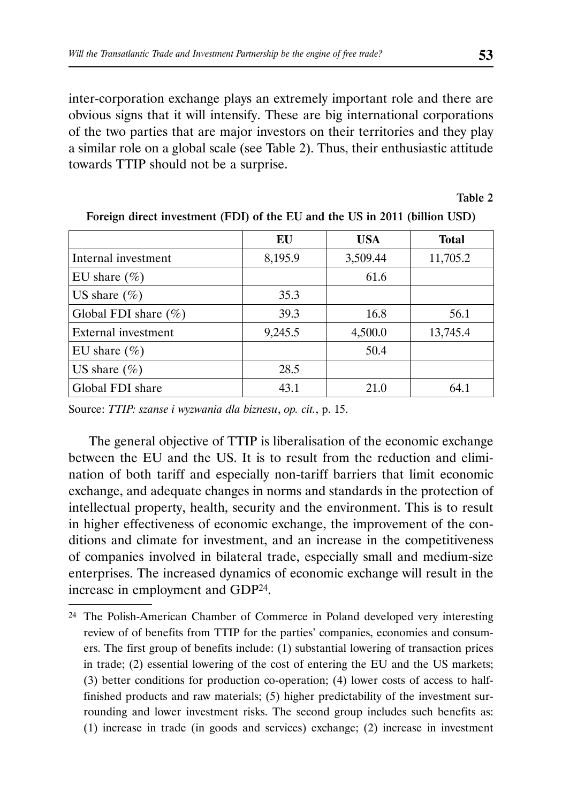inter-corporation exchange plays an extremely important role and there are obvious signs that it will intensify. These are big international corporations of the two parties that are major investors on their territories and they play a similar role on a global scale (see Table 2). Thus, their enthusiastic attitude towards TTIP should not be a surprise.

Table 2

|                         | EU      | <b>USA</b> | <b>Total</b> |
|-------------------------|---------|------------|--------------|
| Internal investment     | 8,195.9 | 3,509.44   | 11,705.2     |
| EU share $(\%)$         |         | 61.6       |              |
| US share $(\% )$        | 35.3    |            |              |
| Global FDI share $(\%)$ | 39.3    | 16.8       | 56.1         |
| External investment     | 9,245.5 | 4,500.0    | 13,745.4     |
| EU share $(\% )$        |         | 50.4       |              |
| US share $(\% )$        | 28.5    |            |              |
| Global FDI share        | 43.1    | 21.0       | 64.1         |

Foreign direct investment (FDI) of the EU and the US in 2011 (billion USD)

Source: *TTIP: szanse i wyzwania dla biznesu*, *op. cit.*, p. 15.

The general objective of TTIP is liberalisation of the economic exchange between the EU and the US. It is to result from the reduction and elimination of both tariff and especially non-tariff barriers that limit economic exchange, and adequate changes in norms and standards in the protection of intellectual property, health, security and the environment. This is to result in higher effectiveness of economic exchange, the improvement of the conditions and climate for investment, and an increase in the competitiveness of companies involved in bilateral trade, especially small and medium-size enterprises. The increased dynamics of economic exchange will result in the increase in employment and GDP24.

<sup>24</sup> The Polish-American Chamber of Commerce in Poland developed very interesting review of of benefits from TTIP for the parties' companies, economies and consumers. The first group of benefits include: (1) substantial lowering of transaction prices in trade; (2) essential lowering of the cost of entering the EU and the US markets; (3) better conditions for production co-operation; (4) lower costs of access to halffinished products and raw materials; (5) higher predictability of the investment surrounding and lower investment risks. The second group includes such benefits as: (1) increase in trade (in goods and services) exchange; (2) increase in investment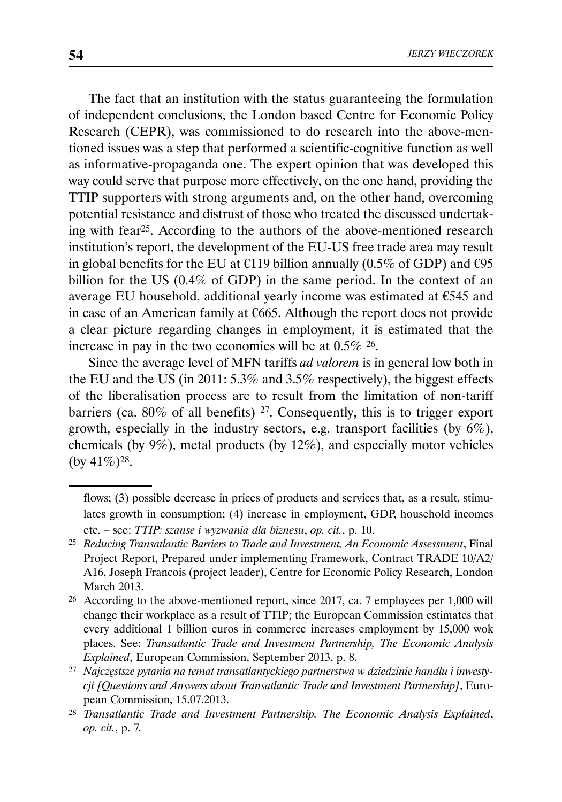The fact that an institution with the status guaranteeing the formulation of independent conclusions, the London based Centre for Economic Policy Research (CEPR), was commissioned to do research into the above-mentioned issues was a step that performed a scientific-cognitive function as well as informative-propaganda one. The expert opinion that was developed this way could serve that purpose more effectively, on the one hand, providing the TTIP supporters with strong arguments and, on the other hand, overcoming potential resistance and distrust of those who treated the discussed undertaking with fear25. According to the authors of the above-mentioned research institution's report, the development of the EU-US free trade area may result in global benefits for the EU at  $\epsilon$ 119 billion annually (0.5% of GDP) and  $\epsilon$ 95 billion for the US (0.4% of GDP) in the same period. In the context of an average EU household, additional yearly income was estimated at €545 and in case of an American family at  $€665$ . Although the report does not provide a clear picture regarding changes in employment, it is estimated that the increase in pay in the two economies will be at 0.5% 26.

Since the average level of MFN tariffs *ad valorem* is in general low both in the EU and the US (in 2011: 5.3% and 3.5% respectively), the biggest effects of the liberalisation process are to result from the limitation of non-tariff barriers (ca. 80% of all benefits) 27. Consequently, this is to trigger export growth, especially in the industry sectors, e.g. transport facilities (by  $6\%$ ), chemicals (by 9%), metal products (by 12%), and especially motor vehicles (by  $41\%$ )<sup>28</sup>.

flows; (3) possible decrease in prices of products and services that, as a result, stimulates growth in consumption; (4) increase in employment, GDP, household incomes etc. – see: *TTIP: szanse i wyzwania dla biznesu*, *op. cit.*, p. 10.

<sup>25</sup> *Reducing Transatlantic Barriers to Trade and Investment, An Economic Assessment*, Final Project Report, Prepared under implementing Framework, Contract TRADE 10/A2/ A16, Joseph Francois (project leader), Centre for Economic Policy Research, London March 2013.

<sup>26</sup> According to the above-mentioned report, since 2017, ca. 7 employees per 1,000 will change their workplace as a result of TTIP; the European Commission estimates that every additional 1 billion euros in commerce increases employment by 15,000 wok places. See: *Transatlantic Trade and Investment Partnership, The Economic Analysis Explained*, European Commission, September 2013, p. 8.

<sup>27</sup> *Najczęstsze pytania na temat transatlantyckiego partnerstwa w dziedzinie handlu i inwestycji [Questions and Answers about Transatlantic Trade and Investment Partnership]*, European Commission, 15.07.2013.

<sup>28</sup> *Transatlantic Trade and Investment Partnership. The Economic Analysis Explained*, *op. cit.*, p. 7*.*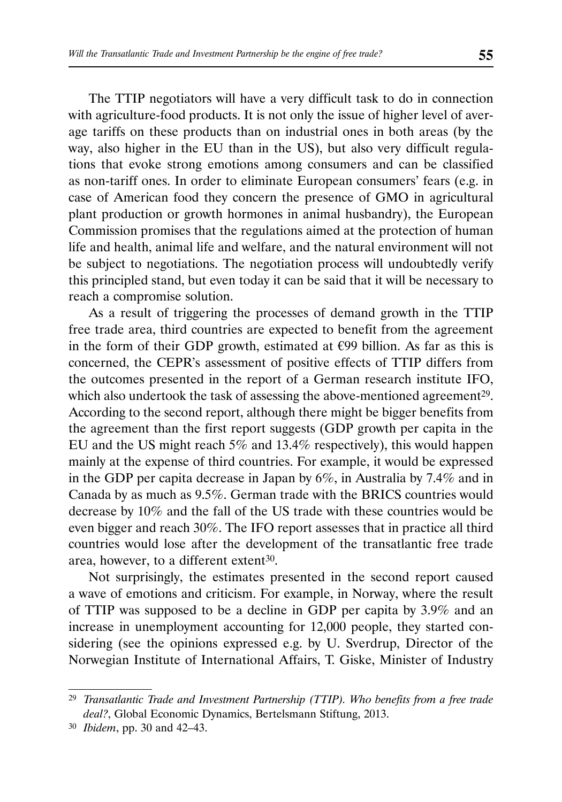The TTIP negotiators will have a very difficult task to do in connection with agriculture-food products. It is not only the issue of higher level of average tariffs on these products than on industrial ones in both areas (by the way, also higher in the EU than in the US), but also very difficult regulations that evoke strong emotions among consumers and can be classified as non-tariff ones. In order to eliminate European consumers' fears (e.g. in case of American food they concern the presence of GMO in agricultural plant production or growth hormones in animal husbandry), the European Commission promises that the regulations aimed at the protection of human life and health, animal life and welfare, and the natural environment will not be subject to negotiations. The negotiation process will undoubtedly verify this principled stand, but even today it can be said that it will be necessary to reach a compromise solution.

As a result of triggering the processes of demand growth in the TTIP free trade area, third countries are expected to benefit from the agreement in the form of their GDP growth, estimated at  $E99$  billion. As far as this is concerned, the CEPR's assessment of positive effects of TTIP differs from the outcomes presented in the report of a German research institute IFO, which also undertook the task of assessing the above-mentioned agreement<sup>29</sup>. According to the second report, although there might be bigger benefits from the agreement than the first report suggests (GDP growth per capita in the EU and the US might reach 5% and 13.4% respectively), this would happen mainly at the expense of third countries. For example, it would be expressed in the GDP per capita decrease in Japan by 6%, in Australia by 7.4% and in Canada by as much as 9.5%. German trade with the BRICS countries would decrease by 10% and the fall of the US trade with these countries would be even bigger and reach 30%. The IFO report assesses that in practice all third countries would lose after the development of the transatlantic free trade area, however, to a different extent<sup>30</sup>.

Not surprisingly, the estimates presented in the second report caused a wave of emotions and criticism. For example, in Norway, where the result of TTIP was supposed to be a decline in GDP per capita by 3.9% and an increase in unemployment accounting for 12,000 people, they started considering (see the opinions expressed e.g. by U. Sverdrup, Director of the Norwegian Institute of International Affairs, T. Giske, Minister of Industry

<sup>29</sup> *Transatlantic Trade and Investment Partnership (TTIP). Who benefits from a free trade deal?*, Global Economic Dynamics, Bertelsmann Stiftung, 2013.

<sup>30</sup> *Ibidem*, pp. 30 and 42–43.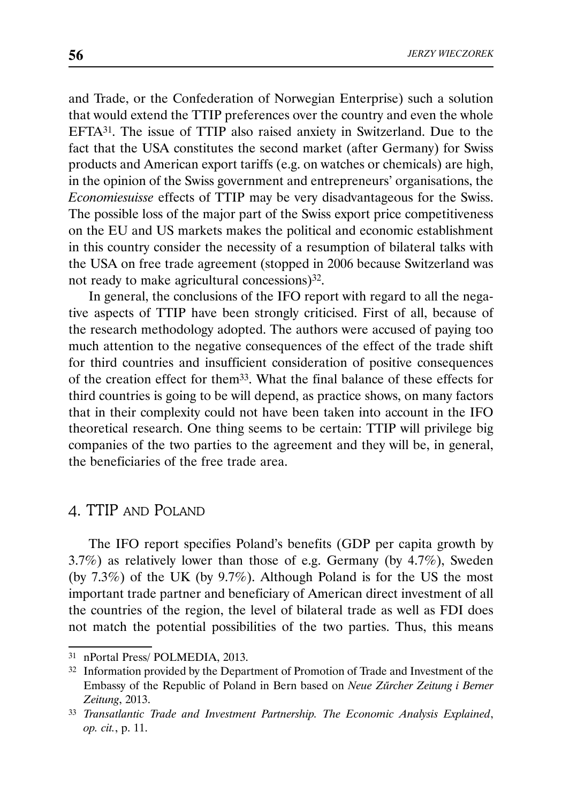and Trade, or the Confederation of Norwegian Enterprise) such a solution that would extend the TTIP preferences over the country and even the whole EFTA31. The issue of TTIP also raised anxiety in Switzerland. Due to the fact that the USA constitutes the second market (after Germany) for Swiss products and American export tariffs (e.g. on watches or chemicals) are high, in the opinion of the Swiss government and entrepreneurs' organisations, the *Economiesuisse* effects of TTIP may be very disadvantageous for the Swiss. The possible loss of the major part of the Swiss export price competitiveness on the EU and US markets makes the political and economic establishment in this country consider the necessity of a resumption of bilateral talks with the USA on free trade agreement (stopped in 2006 because Switzerland was not ready to make agricultural concessions)32.

In general, the conclusions of the IFO report with regard to all the negative aspects of TTIP have been strongly criticised. First of all, because of the research methodology adopted. The authors were accused of paying too much attention to the negative consequences of the effect of the trade shift for third countries and insufficient consideration of positive consequences of the creation effect for them33. What the final balance of these effects for third countries is going to be will depend, as practice shows, on many factors that in their complexity could not have been taken into account in the IFO theoretical research. One thing seems to be certain: TTIP will privilege big companies of the two parties to the agreement and they will be, in general, the beneficiaries of the free trade area.

## 4. TTIP AND POLAND

The IFO report specifies Poland's benefits (GDP per capita growth by 3.7%) as relatively lower than those of e.g. Germany (by 4.7%), Sweden (by 7.3%) of the UK (by 9.7%). Although Poland is for the US the most important trade partner and beneficiary of American direct investment of all the countries of the region, the level of bilateral trade as well as FDI does not match the potential possibilities of the two parties. Thus, this means

<sup>31</sup> nPortal Press/ POLMEDIA, 2013.

<sup>32</sup> Information provided by the Department of Promotion of Trade and Investment of the Embassy of the Republic of Poland in Bern based on *Neue Zűrcher Zeitung i Berner Zeitung*, 2013.

<sup>33</sup> *Transatlantic Trade and Investment Partnership. The Economic Analysis Explained*, *op. cit.*, p. 11.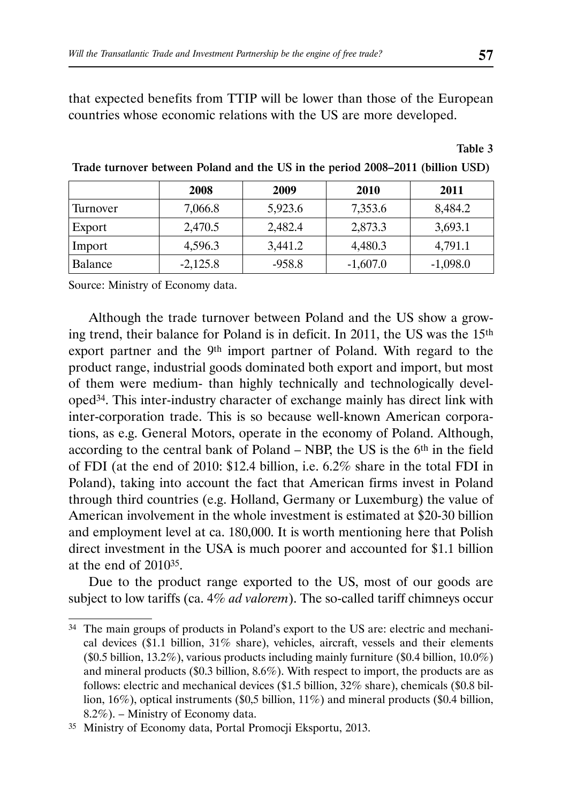that expected benefits from TTIP will be lower than those of the European countries whose economic relations with the US are more developed.

Table 3

|          | 2008       | 2009     | 2010       | 2011       |
|----------|------------|----------|------------|------------|
| Turnover | 7,066.8    | 5,923.6  | 7,353.6    | 8,484.2    |
| Export   | 2,470.5    | 2,482.4  | 2,873.3    | 3,693.1    |
| Import   | 4,596.3    | 3,441.2  | 4,480.3    | 4,791.1    |
| Balance  | $-2,125.8$ | $-958.8$ | $-1,607.0$ | $-1,098.0$ |

Trade turnover between Poland and the US in the period 2008–2011 (billion USD)

Source: Ministry of Economy data.

Although the trade turnover between Poland and the US show a growing trend, their balance for Poland is in deficit. In 2011, the US was the 15th export partner and the 9th import partner of Poland. With regard to the product range, industrial goods dominated both export and import, but most of them were medium- than highly technically and technologically developed34. This inter-industry character of exchange mainly has direct link with inter-corporation trade. This is so because well-known American corporations, as e.g. General Motors, operate in the economy of Poland. Although, according to the central bank of Poland – NBP, the US is the  $6<sup>th</sup>$  in the field of FDI (at the end of 2010: \$12.4 billion, i.e. 6.2% share in the total FDI in Poland), taking into account the fact that American firms invest in Poland through third countries (e.g. Holland, Germany or Luxemburg) the value of American involvement in the whole investment is estimated at \$20-30 billion and employment level at ca. 180,000. It is worth mentioning here that Polish direct investment in the USA is much poorer and accounted for \$1.1 billion at the end of 201035.

Due to the product range exported to the US, most of our goods are subject to low tariffs (ca. 4% *ad valorem*). The so-called tariff chimneys occur

<sup>&</sup>lt;sup>34</sup> The main groups of products in Poland's export to the US are: electric and mechanical devices (\$1.1 billion, 31% share), vehicles, aircraft, vessels and their elements (\$0.5 billion, 13.2%), various products including mainly furniture (\$0.4 billion, 10.0%) and mineral products (\$0.3 billion, 8.6%). With respect to import, the products are as follows: electric and mechanical devices (\$1.5 billion, 32% share), chemicals (\$0.8 billion, 16%), optical instruments (\$0,5 billion, 11%) and mineral products (\$0.4 billion, 8.2%). – Ministry of Economy data.

<sup>35</sup> Ministry of Economy data, Portal Promocji Eksportu, 2013.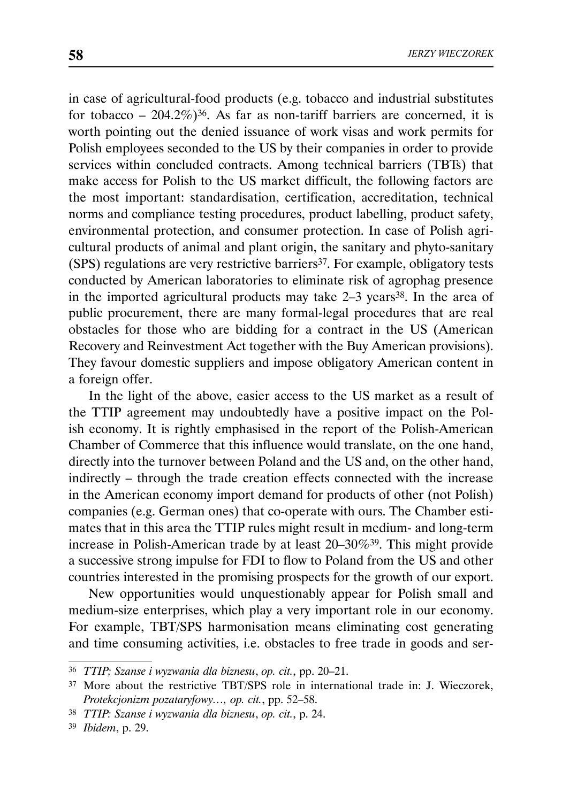in case of agricultural-food products (e.g. tobacco and industrial substitutes for tobacco – 204.2%)<sup>36</sup>. As far as non-tariff barriers are concerned, it is worth pointing out the denied issuance of work visas and work permits for Polish employees seconded to the US by their companies in order to provide services within concluded contracts. Among technical barriers (TBTs) that make access for Polish to the US market difficult, the following factors are the most important: standardisation, certification, accreditation, technical norms and compliance testing procedures, product labelling, product safety, environmental protection, and consumer protection. In case of Polish agricultural products of animal and plant origin, the sanitary and phyto-sanitary (SPS) regulations are very restrictive barriers37. For example, obligatory tests conducted by American laboratories to eliminate risk of agrophag presence in the imported agricultural products may take  $2-3$  years<sup>38</sup>. In the area of public procurement, there are many formal-legal procedures that are real obstacles for those who are bidding for a contract in the US (American Recovery and Reinvestment Act together with the Buy American provisions). They favour domestic suppliers and impose obligatory American content in a foreign offer.

In the light of the above, easier access to the US market as a result of the TTIP agreement may undoubtedly have a positive impact on the Polish economy. It is rightly emphasised in the report of the Polish-American Chamber of Commerce that this influence would translate, on the one hand, directly into the turnover between Poland and the US and, on the other hand, indirectly – through the trade creation effects connected with the increase in the American economy import demand for products of other (not Polish) companies (e.g. German ones) that co-operate with ours. The Chamber estimates that in this area the TTIP rules might result in medium- and long-term increase in Polish-American trade by at least 20–30%39. This might provide a successive strong impulse for FDI to flow to Poland from the US and other countries interested in the promising prospects for the growth of our export.

New opportunities would unquestionably appear for Polish small and medium-size enterprises, which play a very important role in our economy. For example, TBT/SPS harmonisation means eliminating cost generating and time consuming activities, i.e. obstacles to free trade in goods and ser-

<sup>36</sup> *TTIP; Szanse i wyzwania dla biznesu*, *op. cit.*, pp. 20–21.

<sup>37</sup> More about the restrictive TBT/SPS role in international trade in: J. Wieczorek, *Protekcjonizm pozataryfowy…, op. cit.*, pp. 52–58.

<sup>38</sup> *TTIP: Szanse i wyzwania dla biznesu*, *op. cit.*, p. 24.

<sup>39</sup> *Ibidem*, p. 29.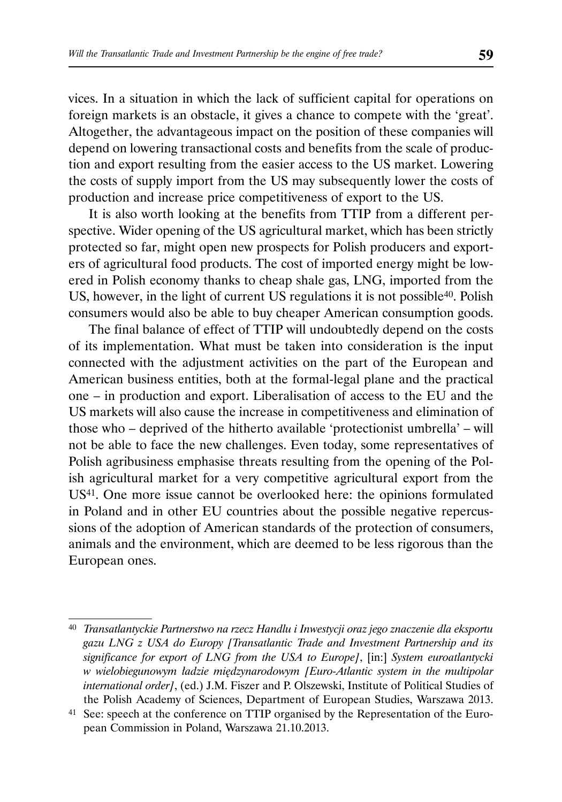vices. In a situation in which the lack of sufficient capital for operations on foreign markets is an obstacle, it gives a chance to compete with the 'great'. Altogether, the advantageous impact on the position of these companies will depend on lowering transactional costs and benefits from the scale of production and export resulting from the easier access to the US market. Lowering the costs of supply import from the US may subsequently lower the costs of production and increase price competitiveness of export to the US.

It is also worth looking at the benefits from TTIP from a different perspective. Wider opening of the US agricultural market, which has been strictly protected so far, might open new prospects for Polish producers and exporters of agricultural food products. The cost of imported energy might be lowered in Polish economy thanks to cheap shale gas, LNG, imported from the US, however, in the light of current US regulations it is not possible<sup>40</sup>. Polish consumers would also be able to buy cheaper American consumption goods.

The final balance of effect of TTIP will undoubtedly depend on the costs of its implementation. What must be taken into consideration is the input connected with the adjustment activities on the part of the European and American business entities, both at the formal-legal plane and the practical one – in production and export. Liberalisation of access to the EU and the US markets will also cause the increase in competitiveness and elimination of those who – deprived of the hitherto available 'protectionist umbrella' – will not be able to face the new challenges. Even today, some representatives of Polish agribusiness emphasise threats resulting from the opening of the Polish agricultural market for a very competitive agricultural export from the US41. One more issue cannot be overlooked here: the opinions formulated in Poland and in other EU countries about the possible negative repercussions of the adoption of American standards of the protection of consumers, animals and the environment, which are deemed to be less rigorous than the European ones.

<sup>40</sup> *Transatlantyckie Partnerstwo na rzecz Handlu i Inwestycji oraz jego znaczenie dla eksportu gazu LNG z USA do Europy [Transatlantic Trade and Investment Partnership and its significance for export of LNG from the USA to Europe]*, [in:] *System euroatlantycki w wielobiegunowym ładzie międzynarodowym [Euro-Atlantic system in the multipolar international order]*, (ed.) J.M. Fiszer and P. Olszewski, Institute of Political Studies of the Polish Academy of Sciences, Department of European Studies, Warszawa 2013.

<sup>41</sup> See: speech at the conference on TTIP organised by the Representation of the European Commission in Poland, Warszawa 21.10.2013.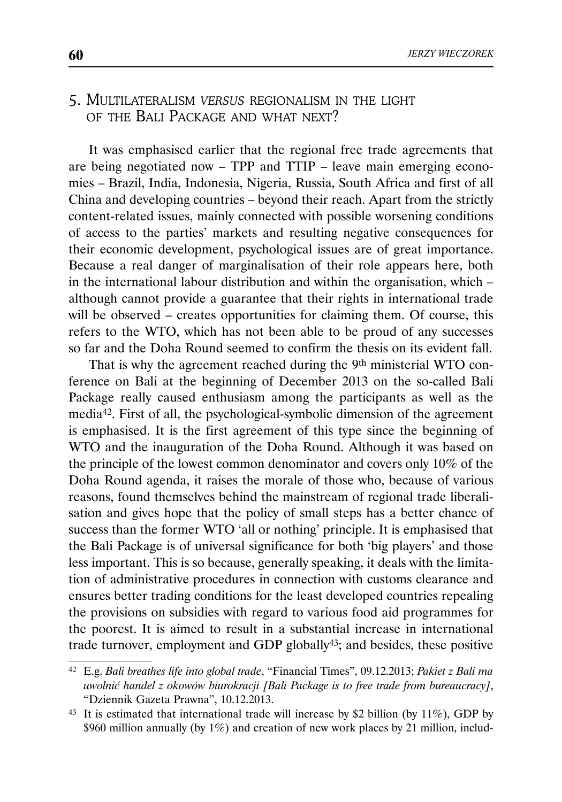# 5. MULTILATERALISM *VERSUS* REGIONALISM IN THE LIGHT OF THE BALL PACKAGE AND WHAT NEXT?

It was emphasised earlier that the regional free trade agreements that are being negotiated now – TPP and TTIP – leave main emerging economies – Brazil, India, Indonesia, Nigeria, Russia, South Africa and first of all China and developing countries – beyond their reach. Apart from the strictly content-related issues, mainly connected with possible worsening conditions of access to the parties' markets and resulting negative consequences for their economic development, psychological issues are of great importance. Because a real danger of marginalisation of their role appears here, both in the international labour distribution and within the organisation, which – although cannot provide a guarantee that their rights in international trade will be observed – creates opportunities for claiming them. Of course, this refers to the WTO, which has not been able to be proud of any successes so far and the Doha Round seemed to confirm the thesis on its evident fall.

That is why the agreement reached during the 9th ministerial WTO conference on Bali at the beginning of December 2013 on the so-called Bali Package really caused enthusiasm among the participants as well as the media42. First of all, the psychological-symbolic dimension of the agreement is emphasised. It is the first agreement of this type since the beginning of WTO and the inauguration of the Doha Round. Although it was based on the principle of the lowest common denominator and covers only 10% of the Doha Round agenda, it raises the morale of those who, because of various reasons, found themselves behind the mainstream of regional trade liberalisation and gives hope that the policy of small steps has a better chance of success than the former WTO 'all or nothing' principle. It is emphasised that the Bali Package is of universal significance for both 'big players' and those less important. This is so because, generally speaking, it deals with the limitation of administrative procedures in connection with customs clearance and ensures better trading conditions for the least developed countries repealing the provisions on subsidies with regard to various food aid programmes for the poorest. It is aimed to result in a substantial increase in international trade turnover, employment and GDP globally43; and besides, these positive

<sup>42</sup> E.g. *Bali breathes life into global trade*, "Financial Times", 09.12.2013; *Pakiet z Bali ma uwolnić handel z okowów biurokracji [Bali Package is to free trade from bureaucracy]*, "Dziennik Gazeta Prawna", 10.12.2013.

 $43$  It is estimated that international trade will increase by \$2 billion (by 11%), GDP by \$960 million annually (by 1%) and creation of new work places by 21 million, includ-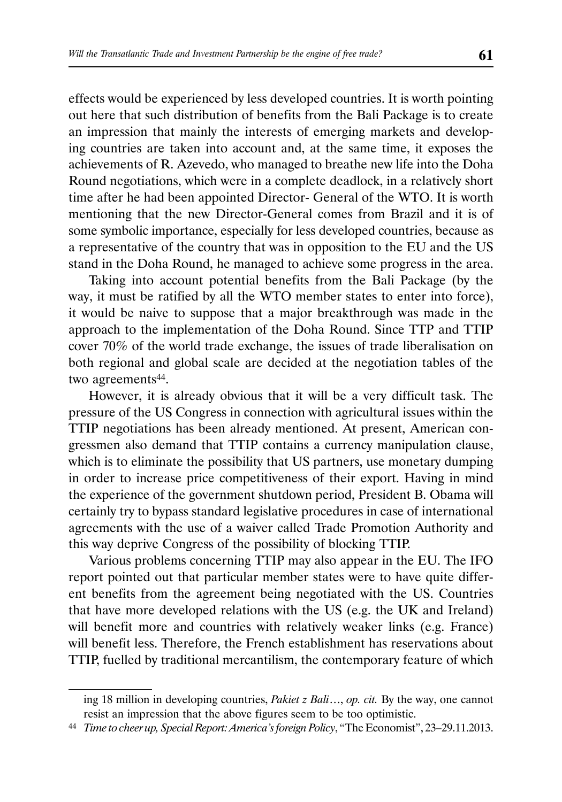effects would be experienced by less developed countries. It is worth pointing out here that such distribution of benefits from the Bali Package is to create an impression that mainly the interests of emerging markets and developing countries are taken into account and, at the same time, it exposes the achievements of R. Azevedo, who managed to breathe new life into the Doha Round negotiations, which were in a complete deadlock, in a relatively short time after he had been appointed Director- General of the WTO. It is worth mentioning that the new Director-General comes from Brazil and it is of some symbolic importance, especially for less developed countries, because as a representative of the country that was in opposition to the EU and the US stand in the Doha Round, he managed to achieve some progress in the area.

Taking into account potential benefits from the Bali Package (by the way, it must be ratified by all the WTO member states to enter into force), it would be naive to suppose that a major breakthrough was made in the approach to the implementation of the Doha Round. Since TTP and TTIP cover 70% of the world trade exchange, the issues of trade liberalisation on both regional and global scale are decided at the negotiation tables of the two agreements<sup>44</sup>.

However, it is already obvious that it will be a very difficult task. The pressure of the US Congress in connection with agricultural issues within the TTIP negotiations has been already mentioned. At present, American congressmen also demand that TTIP contains a currency manipulation clause, which is to eliminate the possibility that US partners, use monetary dumping in order to increase price competitiveness of their export. Having in mind the experience of the government shutdown period, President B. Obama will certainly try to bypass standard legislative procedures in case of international agreements with the use of a waiver called Trade Promotion Authority and this way deprive Congress of the possibility of blocking TTIP.

Various problems concerning TTIP may also appear in the EU. The IFO report pointed out that particular member states were to have quite different benefits from the agreement being negotiated with the US. Countries that have more developed relations with the US (e.g. the UK and Ireland) will benefit more and countries with relatively weaker links (e.g. France) will benefit less. Therefore, the French establishment has reservations about TTIP, fuelled by traditional mercantilism, the contemporary feature of which

ing 18 million in developing countries, *Pakiet z Bali*…, *op. cit.* By the way, one cannot resist an impression that the above figures seem to be too optimistic.

<sup>44</sup> *Time to cheer up, Special Report: America's foreign Policy*, "The Economist", 23–29.11.2013.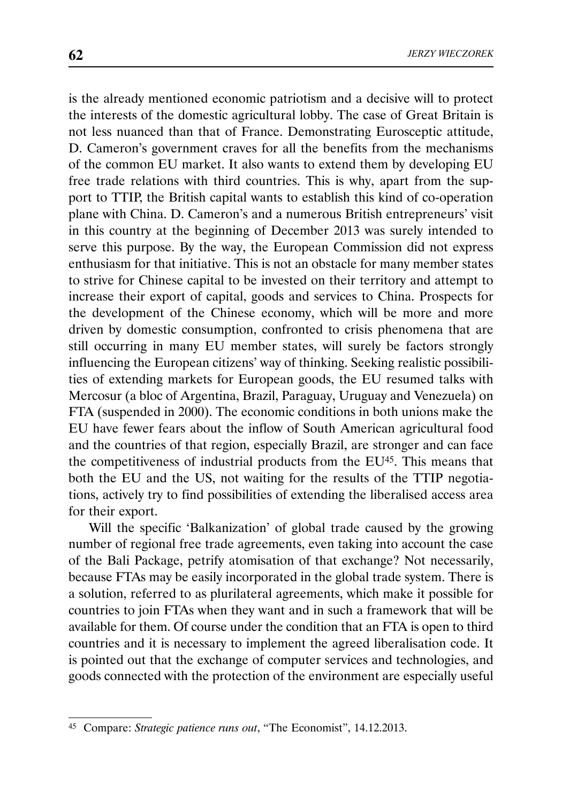is the already mentioned economic patriotism and a decisive will to protect the interests of the domestic agricultural lobby. The case of Great Britain is not less nuanced than that of France. Demonstrating Eurosceptic attitude, D. Cameron's government craves for all the benefits from the mechanisms of the common EU market. It also wants to extend them by developing EU free trade relations with third countries. This is why, apart from the support to TTIP, the British capital wants to establish this kind of co-operation plane with China. D. Cameron's and a numerous British entrepreneurs' visit in this country at the beginning of December 2013 was surely intended to serve this purpose. By the way, the European Commission did not express enthusiasm for that initiative. This is not an obstacle for many member states to strive for Chinese capital to be invested on their territory and attempt to increase their export of capital, goods and services to China. Prospects for the development of the Chinese economy, which will be more and more driven by domestic consumption, confronted to crisis phenomena that are still occurring in many EU member states, will surely be factors strongly influencing the European citizens' way of thinking. Seeking realistic possibilities of extending markets for European goods, the EU resumed talks with Mercosur (a bloc of Argentina, Brazil, Paraguay, Uruguay and Venezuela) on FTA (suspended in 2000). The economic conditions in both unions make the EU have fewer fears about the inflow of South American agricultural food and the countries of that region, especially Brazil, are stronger and can face the competitiveness of industrial products from the EU<sup>45</sup>. This means that both the EU and the US, not waiting for the results of the TTIP negotiations, actively try to find possibilities of extending the liberalised access area for their export.

Will the specific 'Balkanization' of global trade caused by the growing number of regional free trade agreements, even taking into account the case of the Bali Package, petrify atomisation of that exchange? Not necessarily, because FTAs may be easily incorporated in the global trade system. There is a solution, referred to as plurilateral agreements, which make it possible for countries to join FTAs when they want and in such a framework that will be available for them. Of course under the condition that an FTA is open to third countries and it is necessary to implement the agreed liberalisation code. It is pointed out that the exchange of computer services and technologies, and goods connected with the protection of the environment are especially useful

<sup>45</sup> Compare: *Strategic patience runs out*, "The Economist", 14.12.2013.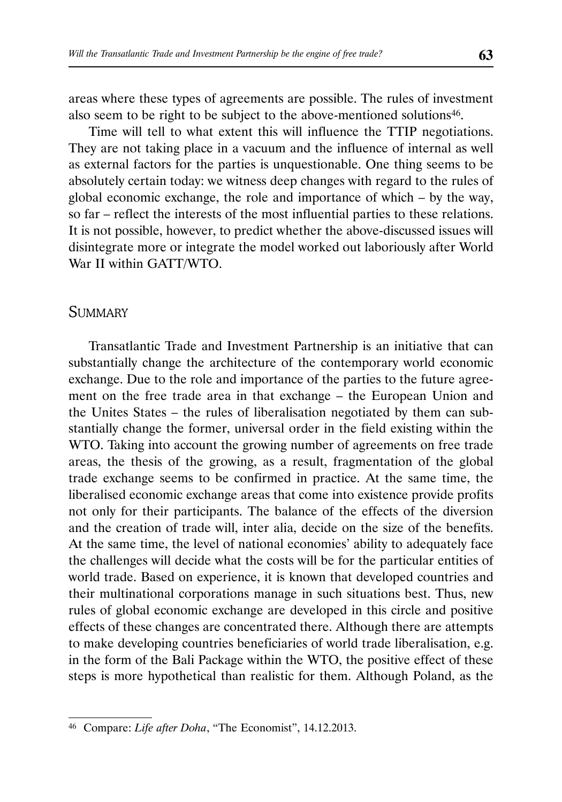areas where these types of agreements are possible. The rules of investment also seem to be right to be subject to the above-mentioned solutions<sup>46</sup>.

Time will tell to what extent this will influence the TTIP negotiations. They are not taking place in a vacuum and the influence of internal as well as external factors for the parties is unquestionable. One thing seems to be absolutely certain today: we witness deep changes with regard to the rules of global economic exchange, the role and importance of which – by the way, so far – reflect the interests of the most influential parties to these relations. It is not possible, however, to predict whether the above-discussed issues will disintegrate more or integrate the model worked out laboriously after World War II within GATT/WTO.

## **SUMMARY**

Transatlantic Trade and Investment Partnership is an initiative that can substantially change the architecture of the contemporary world economic exchange. Due to the role and importance of the parties to the future agreement on the free trade area in that exchange – the European Union and the Unites States – the rules of liberalisation negotiated by them can substantially change the former, universal order in the field existing within the WTO. Taking into account the growing number of agreements on free trade areas, the thesis of the growing, as a result, fragmentation of the global trade exchange seems to be confirmed in practice. At the same time, the liberalised economic exchange areas that come into existence provide profits not only for their participants. The balance of the effects of the diversion and the creation of trade will, inter alia, decide on the size of the benefits. At the same time, the level of national economies' ability to adequately face the challenges will decide what the costs will be for the particular entities of world trade. Based on experience, it is known that developed countries and their multinational corporations manage in such situations best. Thus, new rules of global economic exchange are developed in this circle and positive effects of these changes are concentrated there. Although there are attempts to make developing countries beneficiaries of world trade liberalisation, e.g. in the form of the Bali Package within the WTO, the positive effect of these steps is more hypothetical than realistic for them. Although Poland, as the

<sup>46</sup> Compare: *Life after Doha*, "The Economist", 14.12.2013.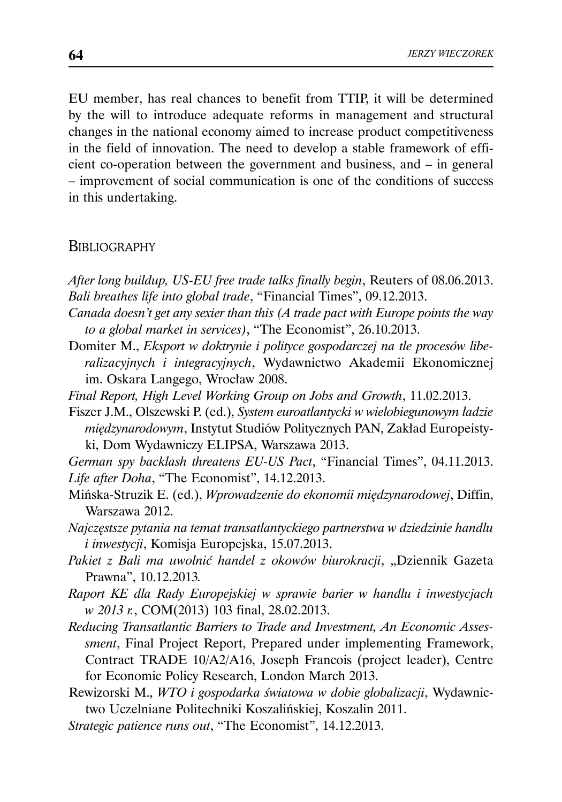EU member, has real chances to benefit from TTIP, it will be determined by the will to introduce adequate reforms in management and structural changes in the national economy aimed to increase product competitiveness in the field of innovation. The need to develop a stable framework of efficient co-operation between the government and business, and – in general – improvement of social communication is one of the conditions of success in this undertaking.

#### **BIBLIOGRAPHY**

*After long buildup, US-EU free trade talks finally begin*, Reuters of 08.06.2013. *Bali breathes life into global trade*, "Financial Times", 09.12.2013.

- *Canada doesn't get any sexier than this (A trade pact with Europe points the way to a global market in services)*, "The Economist", 26.10.2013.
- Domiter M., *Eksport w doktrynie i polityce gospodarczej na tle procesów liberalizacyjnych i integracyjnych*, Wydawnictwo Akademii Ekonomicznej im. Oskara Langego, Wrocław 2008.
- *Final Report, High Level Working Group on Jobs and Growth*, 11.02.2013.
- Fiszer J.M., Olszewski P. (ed.), *System euroatlantycki w wielobiegunowym ładzie międzynarodowym*, Instytut Studiów Politycznych PAN, Zakład Europeistyki, Dom Wydawniczy ELIPSA, Warszawa 2013.

*German spy backlash threatens EU-US Pact*, "Financial Times", 04.11.2013. *Life after Doha*, "The Economist", 14.12.2013.

- Mińska-Struzik E. (ed.), *Wprowadzenie do ekonomii międzynarodowej*, Diffin, Warszawa 2012.
- *Najczęstsze pytania na temat transatlantyckiego partnerstwa w dziedzinie handlu i inwestycji*, Komisja Europejska, 15.07.2013.
- *Pakiet z Bali ma uwolnić handel z okowów biurokracji*, "Dziennik Gazeta Prawna", 10.12.2013*.*
- *Raport KE dla Rady Europejskiej w sprawie barier w handlu i inwestycjach w 2013 r.*, COM(2013) 103 final, 28.02.2013.
- *Reducing Transatlantic Barriers to Trade and Investment, An Economic Assessment*, Final Project Report, Prepared under implementing Framework, Contract TRADE 10/A2/A16, Joseph Francois (project leader), Centre for Economic Policy Research, London March 2013.
- Rewizorski M., *WTO i gospodarka światowa w dobie globalizacji*, Wydawnictwo Uczelniane Politechniki Koszalińskiej, Koszalin 2011.
- *Strategic patience runs out*, "The Economist", 14.12.2013.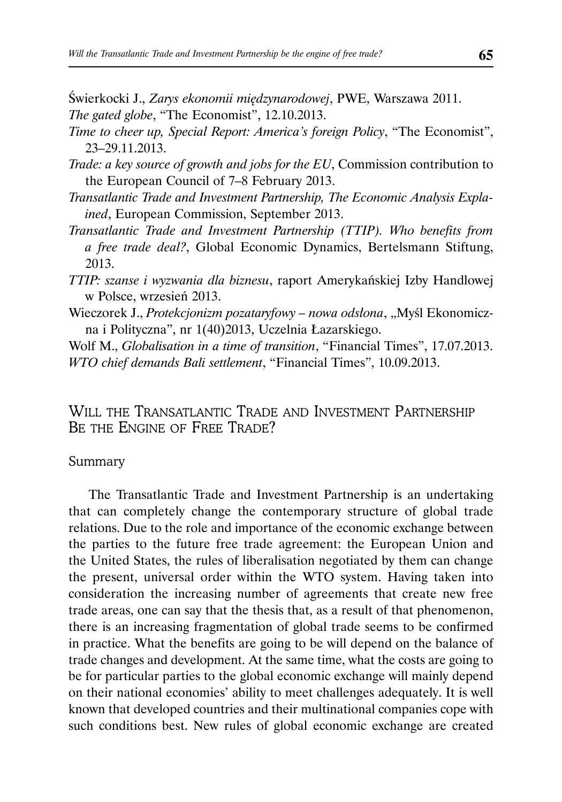Świerkocki J., *Zarys ekonomii międzynarodowej*, PWE, Warszawa 2011. *The gated globe*, "The Economist", 12.10.2013.

- *Time to cheer up, Special Report: America's foreign Policy*, "The Economist", 23–29.11.2013.
- *Trade: a key source of growth and jobs for the EU*, Commission contribution to the European Council of 7–8 February 2013.
- *Transatlantic Trade and Investment Partnership, The Economic Analysis Explained*, European Commission, September 2013.
- *Transatlantic Trade and Investment Partnership (TTIP). Who benefits from a free trade deal?*, Global Economic Dynamics, Bertelsmann Stiftung, 2013.
- *TTIP: szanse i wyzwania dla biznesu*, raport Amerykańskiej Izby Handlowej w Polsce, wrzesień 2013.
- Wieczorek J., *Protekcjonizm pozataryfowy nowa odsłona*, "Myśl Ekonomiczna i Polityczna", nr 1(40)2013, Uczelnia Łazarskiego.
- Wolf M., *Globalisation in a time of transition*, "Financial Times", 17.07.2013. *WTO chief demands Bali settlement*, "Financial Times", 10.09.2013.

# WILL THE TRANSATLANTIC TRADE AND INVESTMENT PARTNERSHIP BE THE ENGINE OF FREE TRADE?

#### Summary

The Transatlantic Trade and Investment Partnership is an undertaking that can completely change the contemporary structure of global trade relations. Due to the role and importance of the economic exchange between the parties to the future free trade agreement: the European Union and the United States, the rules of liberalisation negotiated by them can change the present, universal order within the WTO system. Having taken into consideration the increasing number of agreements that create new free trade areas, one can say that the thesis that, as a result of that phenomenon, there is an increasing fragmentation of global trade seems to be confirmed in practice. What the benefits are going to be will depend on the balance of trade changes and development. At the same time, what the costs are going to be for particular parties to the global economic exchange will mainly depend on their national economies' ability to meet challenges adequately. It is well known that developed countries and their multinational companies cope with such conditions best. New rules of global economic exchange are created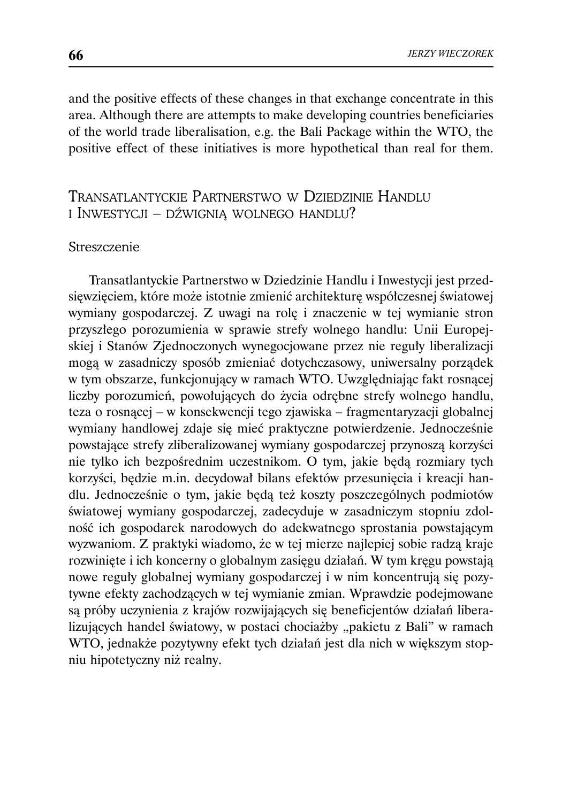and the positive effects of these changes in that exchange concentrate in this area. Although there are attempts to make developing countries beneficiaries of the world trade liberalisation, e.g. the Bali Package within the WTO, the positive effect of these initiatives is more hypothetical than real for them.

# TRANSATLANTYCKIE PARTNERSTWO W DZIEDZINIE HANDLU I INWESTYCJI – DŹWIGNIĄ WOLNEGO HANDLU?

#### Streszczenie

Transatlantyckie Partnerstwo w Dziedzinie Handlu i Inwestycji jest przedsięwzięciem, które może istotnie zmienić architekturę współczesnej światowej wymiany gospodarczej. Z uwagi na rolę i znaczenie w tej wymianie stron przyszłego porozumienia w sprawie strefy wolnego handlu: Unii Europejskiej i Stanów Zjednoczonych wynegocjowane przez nie reguły liberalizacji mogą w zasadniczy sposób zmieniać dotychczasowy, uniwersalny porządek w tym obszarze, funkcjonujący w ramach WTO. Uwzględniając fakt rosnącej liczby porozumień, powołujących do życia odrębne strefy wolnego handlu, teza o rosnącej – w konsekwencji tego zjawiska – fragmentaryzacji globalnej wymiany handlowej zdaje się mieć praktyczne potwierdzenie. Jednocześnie powstające strefy zliberalizowanej wymiany gospodarczej przynoszą korzyści nie tylko ich bezpośrednim uczestnikom. O tym, jakie będą rozmiary tych korzyści, będzie m.in. decydował bilans efektów przesunięcia i kreacji handlu. Jednocześnie o tym, jakie będą też koszty poszczególnych podmiotów światowej wymiany gospodarczej, zadecyduje w zasadniczym stopniu zdolność ich gospodarek narodowych do adekwatnego sprostania powstającym wyzwaniom. Z praktyki wiadomo, że w tej mierze najlepiej sobie radzą kraje rozwinięte i ich koncerny o globalnym zasięgu działań. W tym kręgu powstają nowe reguły globalnej wymiany gospodarczej i w nim koncentrują się pozytywne efekty zachodzących w tej wymianie zmian. Wprawdzie podejmowane są próby uczynienia z krajów rozwijających się beneficjentów działań liberalizujących handel światowy, w postaci chociażby "pakietu z Bali" w ramach WTO, jednakże pozytywny efekt tych działań jest dla nich w większym stopniu hipotetyczny niż realny.